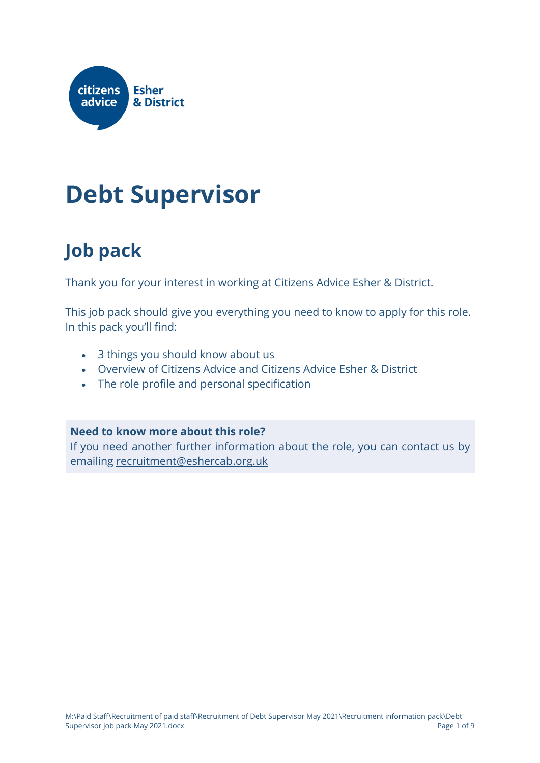

### **Debt Supervisor**

### **Job pack**

Thank you for your interest in working at Citizens Advice Esher & District.

This job pack should give you everything you need to know to apply for this role. In this pack you'll find:

- 3 things you should know about us
- Overview of Citizens Advice and Citizens Advice Esher & District
- The role profile and personal specification

#### **Need to know more about this role?**

If you need another further information about the role, you can contact us by emailing [recruitment@eshercab.org.uk](mailto:recruitment@eshercab.org.uk)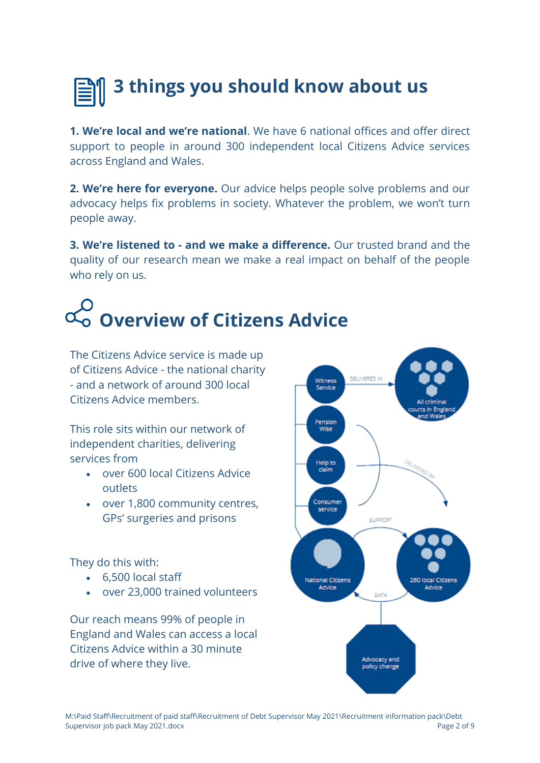### **3 things you should know about us**

**1. We're local and we're national**. We have 6 national offices and offer direct support to people in around 300 independent local Citizens Advice services across England and Wales.

**2. We're here for everyone.** Our advice helps people solve problems and our advocacy helps fix problems in society. Whatever the problem, we won't turn people away.

**3. We're listened to - and we make a difference.** Our trusted brand and the quality of our research mean we make a real impact on behalf of the people who rely on us.

### **Overview of Citizens Advice**

The Citizens Advice service is made up of Citizens Advice - the national charity - and a network of around 300 local Citizens Advice members.

This role sits within our network of independent charities, delivering services from

- over 600 local Citizens Advice outlets
- over 1,800 community centres, GPs' surgeries and prisons

They do this with:

- 6,500 local staff
- over 23,000 trained volunteers

Our reach means 99% of people in England and Wales can access a local Citizens Advice within a 30 minute drive of where they live.

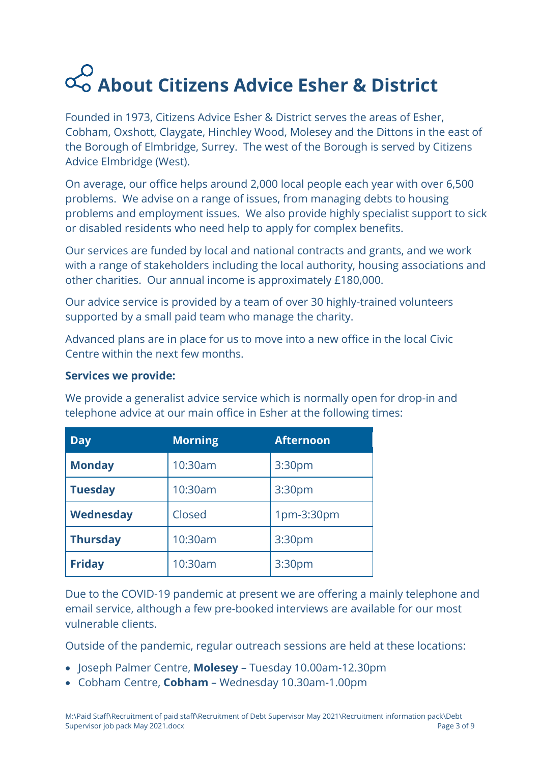## **About Citizens Advice Esher & District**

Founded in 1973, Citizens Advice Esher & District serves the areas of Esher, Cobham, Oxshott, Claygate, Hinchley Wood, Molesey and the Dittons in the east of the Borough of Elmbridge, Surrey. The west of the Borough is served by Citizens Advice Elmbridge (West).

On average, our office helps around 2,000 local people each year with over 6,500 problems. We advise on a range of issues, from managing debts to housing problems and employment issues. We also provide highly specialist support to sick or disabled residents who need help to apply for complex benefits.

Our services are funded by local and national contracts and grants, and we work with a range of stakeholders including the local authority, housing associations and other charities. Our annual income is approximately £180,000.

Our advice service is provided by a team of over 30 highly-trained volunteers supported by a small paid team who manage the charity.

Advanced plans are in place for us to move into a new office in the local Civic Centre within the next few months.

#### **Services we provide:**

We provide a generalist advice service which is normally open for drop-in and telephone advice at our main office in Esher at the following times:

| <b>Day</b>      | <b>Morning</b> | <b>Afternoon</b> |
|-----------------|----------------|------------------|
| <b>Monday</b>   | 10:30am        | 3:30pm           |
| <b>Tuesday</b>  | 10:30am        | 3:30pm           |
| Wednesday       | Closed         | 1pm-3:30pm       |
| <b>Thursday</b> | 10:30am        | 3:30pm           |
| <b>Friday</b>   | 10:30am        | 3:30pm           |

Due to the COVID-19 pandemic at present we are offering a mainly telephone and email service, although a few pre-booked interviews are available for our most vulnerable clients.

Outside of the pandemic, regular outreach sessions are held at these locations:

- Joseph Palmer Centre, **Molesey**  Tuesday 10.00am-12.30pm
- Cobham Centre, **Cobham**  Wednesday 10.30am-1.00pm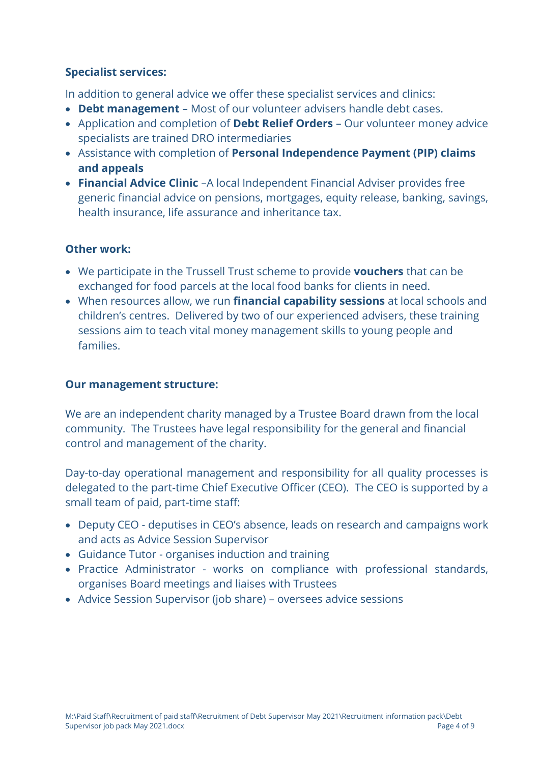#### **Specialist services:**

In addition to general advice we offer these specialist services and clinics:

- **Debt management**  Most of our volunteer advisers handle debt cases.
- Application and completion of **Debt Relief Orders** Our volunteer money advice specialists are trained DRO intermediaries
- Assistance with completion of **Personal Independence Payment (PIP) claims and appeals**
- **Financial Advice Clinic** –A local Independent Financial Adviser provides free generic financial advice on pensions, mortgages, equity release, banking, savings, health insurance, life assurance and inheritance tax.

#### **Other work:**

- We participate in the Trussell Trust scheme to provide **vouchers** that can be exchanged for food parcels at the local food banks for clients in need.
- When resources allow, we run **financial capability sessions** at local schools and children's centres. Delivered by two of our experienced advisers, these training sessions aim to teach vital money management skills to young people and families.

#### **Our management structure:**

We are an independent charity managed by a Trustee Board drawn from the local community. The Trustees have legal responsibility for the general and financial control and management of the charity.

Day-to-day operational management and responsibility for all quality processes is delegated to the part-time Chief Executive Officer (CEO). The CEO is supported by a small team of paid, part-time staff:

- Deputy CEO deputises in CEO's absence, leads on research and campaigns work and acts as Advice Session Supervisor
- Guidance Tutor organises induction and training
- Practice Administrator works on compliance with professional standards, organises Board meetings and liaises with Trustees
- Advice Session Supervisor (job share) oversees advice sessions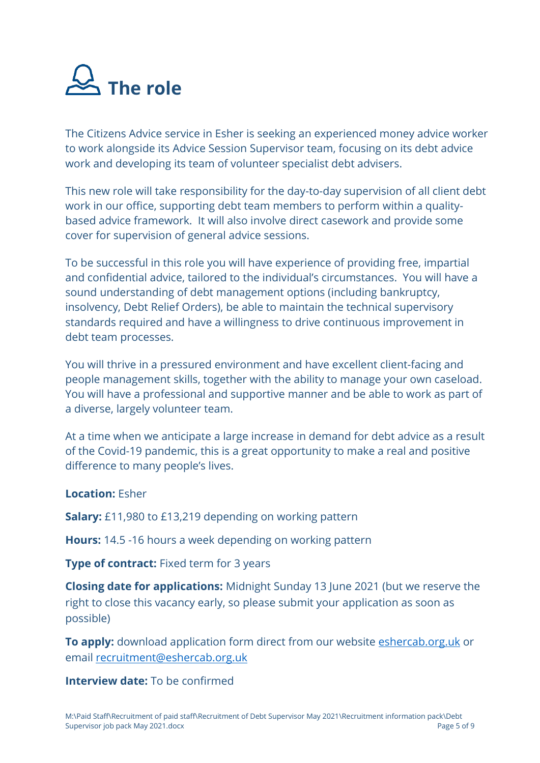

The Citizens Advice service in Esher is seeking an experienced money advice worker to work alongside its Advice Session Supervisor team, focusing on its debt advice work and developing its team of volunteer specialist debt advisers.

This new role will take responsibility for the day-to-day supervision of all client debt work in our office, supporting debt team members to perform within a qualitybased advice framework. It will also involve direct casework and provide some cover for supervision of general advice sessions.

To be successful in this role you will have experience of providing free, impartial and confidential advice, tailored to the individual's circumstances. You will have a sound understanding of debt management options (including bankruptcy, insolvency, Debt Relief Orders), be able to maintain the technical supervisory standards required and have a willingness to drive continuous improvement in debt team processes.

You will thrive in a pressured environment and have excellent client-facing and people management skills, together with the ability to manage your own caseload. You will have a professional and supportive manner and be able to work as part of a diverse, largely volunteer team.

At a time when we anticipate a large increase in demand for debt advice as a result of the Covid-19 pandemic, this is a great opportunity to make a real and positive difference to many people's lives.

#### **Location:** Esher

**Salary:** £11,980 to £13,219 depending on working pattern

**Hours:** 14.5 -16 hours a week depending on working pattern

**Type of contract:** Fixed term for 3 years

**Closing date for applications:** Midnight Sunday 13 June 2021 (but we reserve the right to close this vacancy early, so please submit your application as soon as possible)

**To apply:** download application form direct from our website [eshercab.org.uk](https://www.eshercab.org.uk/become-a-volunteer/?et_fb=1) or email [recruitment@eshercab.org.uk](mailto:recruitment@eshercab.org.uk)

**Interview date:** To be confirmed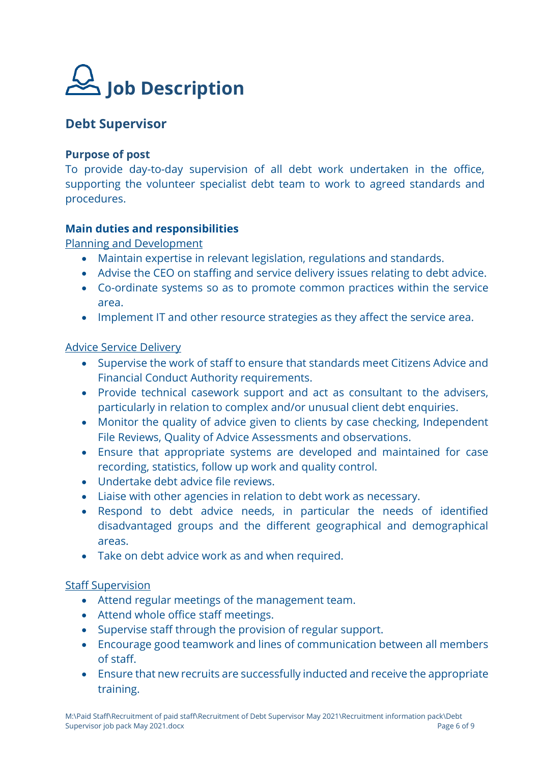

#### **Debt Supervisor**

#### **Purpose of post**

To provide day-to-day supervision of all debt work undertaken in the office, supporting the volunteer specialist debt team to work to agreed standards and procedures.

#### **Main duties and responsibilities**

Planning and Development

- Maintain expertise in relevant legislation, regulations and standards.
- Advise the CEO on staffing and service delivery issues relating to debt advice.
- Co-ordinate systems so as to promote common practices within the service area.
- Implement IT and other resource strategies as they affect the service area.

#### Advice Service Delivery

- Supervise the work of staff to ensure that standards meet Citizens Advice and Financial Conduct Authority requirements.
- Provide technical casework support and act as consultant to the advisers, particularly in relation to complex and/or unusual client debt enquiries.
- Monitor the quality of advice given to clients by case checking, Independent File Reviews, Quality of Advice Assessments and observations.
- Ensure that appropriate systems are developed and maintained for case recording, statistics, follow up work and quality control.
- Undertake debt advice file reviews.
- Liaise with other agencies in relation to debt work as necessary.
- Respond to debt advice needs, in particular the needs of identified disadvantaged groups and the different geographical and demographical areas.
- Take on debt advice work as and when required.

#### Staff Supervision

- Attend regular meetings of the management team.
- Attend whole office staff meetings.
- Supervise staff through the provision of regular support.
- Encourage good teamwork and lines of communication between all members of staff.
- Ensure that new recruits are successfully inducted and receive the appropriate training.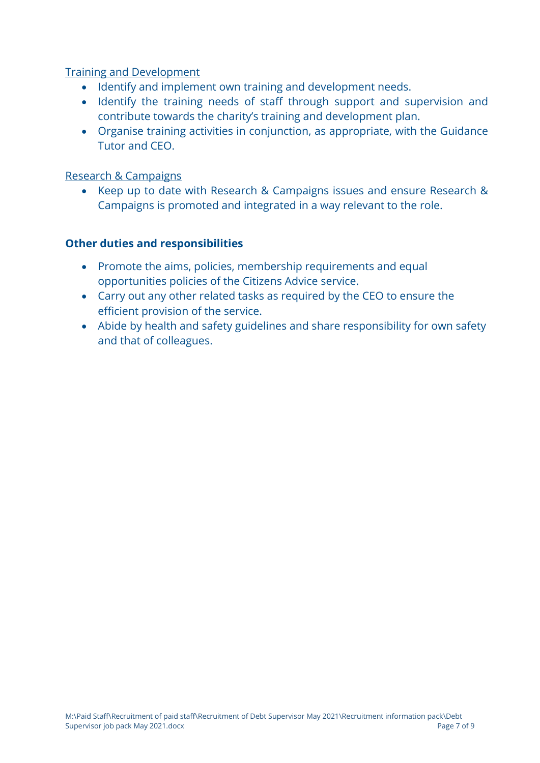Training and Development

- Identify and implement own training and development needs.
- Identify the training needs of staff through support and supervision and contribute towards the charity's training and development plan.
- Organise training activities in conjunction, as appropriate, with the Guidance Tutor and CEO.

#### Research & Campaigns

• Keep up to date with Research & Campaigns issues and ensure Research & Campaigns is promoted and integrated in a way relevant to the role.

#### **Other duties and responsibilities**

- Promote the aims, policies, membership requirements and equal opportunities policies of the Citizens Advice service.
- Carry out any other related tasks as required by the CEO to ensure the efficient provision of the service.
- Abide by health and safety guidelines and share responsibility for own safety and that of colleagues.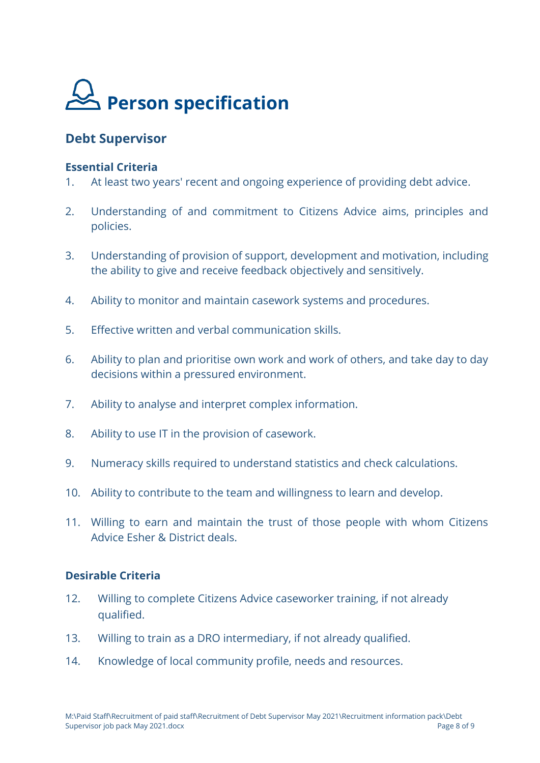

#### **Debt Supervisor**

#### **Essential Criteria**

- 1. At least two years' recent and ongoing experience of providing debt advice.
- 2. Understanding of and commitment to Citizens Advice aims, principles and policies.
- 3. Understanding of provision of support, development and motivation, including the ability to give and receive feedback objectively and sensitively.
- 4. Ability to monitor and maintain casework systems and procedures.
- 5. Effective written and verbal communication skills.
- 6. Ability to plan and prioritise own work and work of others, and take day to day decisions within a pressured environment.
- 7. Ability to analyse and interpret complex information.
- 8. Ability to use IT in the provision of casework.
- 9. Numeracy skills required to understand statistics and check calculations.
- 10. Ability to contribute to the team and willingness to learn and develop.
- 11. Willing to earn and maintain the trust of those people with whom Citizens Advice Esher & District deals.

#### **Desirable Criteria**

- 12. Willing to complete Citizens Advice caseworker training, if not already qualified.
- 13. Willing to train as a DRO intermediary, if not already qualified.
- 14. Knowledge of local community profile, needs and resources.